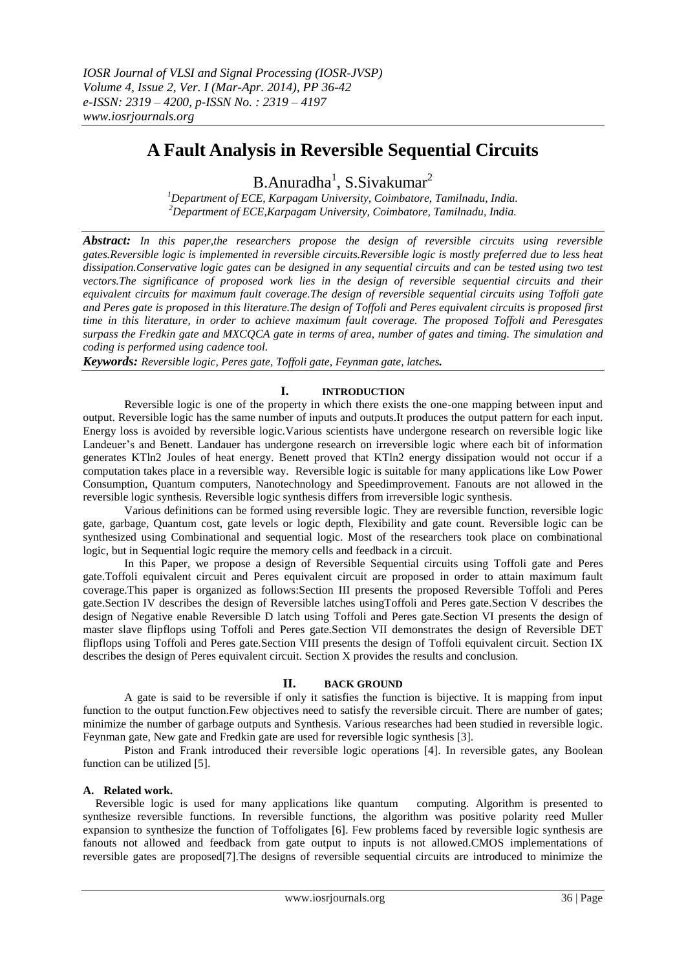# **A Fault Analysis in Reversible Sequential Circuits**

B.Anuradha<sup>1</sup>, S.Sivakumar<sup>2</sup>

*<sup>1</sup>Department of ECE, Karpagam University, Coimbatore, Tamilnadu, India. <sup>2</sup>Department of ECE,Karpagam University, Coimbatore, Tamilnadu, India.*

*Abstract: In this paper,the researchers propose the design of reversible circuits using reversible gates.Reversible logic is implemented in reversible circuits.Reversible logic is mostly preferred due to less heat dissipation.Conservative logic gates can be designed in any sequential circuits and can be tested using two test vectors.The significance of proposed work lies in the design of reversible sequential circuits and their equivalent circuits for maximum fault coverage.The design of reversible sequential circuits using Toffoli gate and Peres gate is proposed in this literature.The design of Toffoli and Peres equivalent circuits is proposed first time in this literature, in order to achieve maximum fault coverage. The proposed Toffoli and Peresgates surpass the Fredkin gate and MXCQCA gate in terms of area, number of gates and timing. The simulation and coding is performed using cadence tool.*

*Keywords: Reversible logic, Peres gate, Toffoli gate, Feynman gate, latches.*

### **I. INTRODUCTION**

Reversible logic is one of the property in which there exists the one-one mapping between input and output. Reversible logic has the same number of inputs and outputs.It produces the output pattern for each input. Energy loss is avoided by reversible logic.Various scientists have undergone research on reversible logic like Landeuer's and Benett. Landauer has undergone research on irreversible logic where each bit of information generates KTln2 Joules of heat energy. Benett proved that KTln2 energy dissipation would not occur if a computation takes place in a reversible way. Reversible logic is suitable for many applications like Low Power Consumption, Quantum computers, Nanotechnology and Speedimprovement. Fanouts are not allowed in the reversible logic synthesis. Reversible logic synthesis differs from irreversible logic synthesis.

Various definitions can be formed using reversible logic. They are reversible function, reversible logic gate, garbage, Quantum cost, gate levels or logic depth, Flexibility and gate count. Reversible logic can be synthesized using Combinational and sequential logic. Most of the researchers took place on combinational logic, but in Sequential logic require the memory cells and feedback in a circuit.

In this Paper, we propose a design of Reversible Sequential circuits using Toffoli gate and Peres gate.Toffoli equivalent circuit and Peres equivalent circuit are proposed in order to attain maximum fault coverage.This paper is organized as follows:Section III presents the proposed Reversible Toffoli and Peres gate.Section IV describes the design of Reversible latches usingToffoli and Peres gate.Section V describes the design of Negative enable Reversible D latch using Toffoli and Peres gate.Section VI presents the design of master slave flipflops using Toffoli and Peres gate.Section VII demonstrates the design of Reversible DET flipflops using Toffoli and Peres gate.Section VIII presents the design of Toffoli equivalent circuit. Section IX describes the design of Peres equivalent circuit. Section X provides the results and conclusion.

#### **II. BACK GROUND**

A gate is said to be reversible if only it satisfies the function is bijective. It is mapping from input function to the output function.Few objectives need to satisfy the reversible circuit. There are number of gates; minimize the number of garbage outputs and Synthesis. Various researches had been studied in reversible logic. Feynman gate, New gate and Fredkin gate are used for reversible logic synthesis [3].

Piston and Frank introduced their reversible logic operations [4]. In reversible gates, any Boolean function can be utilized [5].

#### **A. Related work.**

Reversible logic is used for many applications like quantum computing. Algorithm is presented to synthesize reversible functions. In reversible functions, the algorithm was positive polarity reed Muller expansion to synthesize the function of Toffoligates [6]. Few problems faced by reversible logic synthesis are fanouts not allowed and feedback from gate output to inputs is not allowed.CMOS implementations of reversible gates are proposed[7].The designs of reversible sequential circuits are introduced to minimize the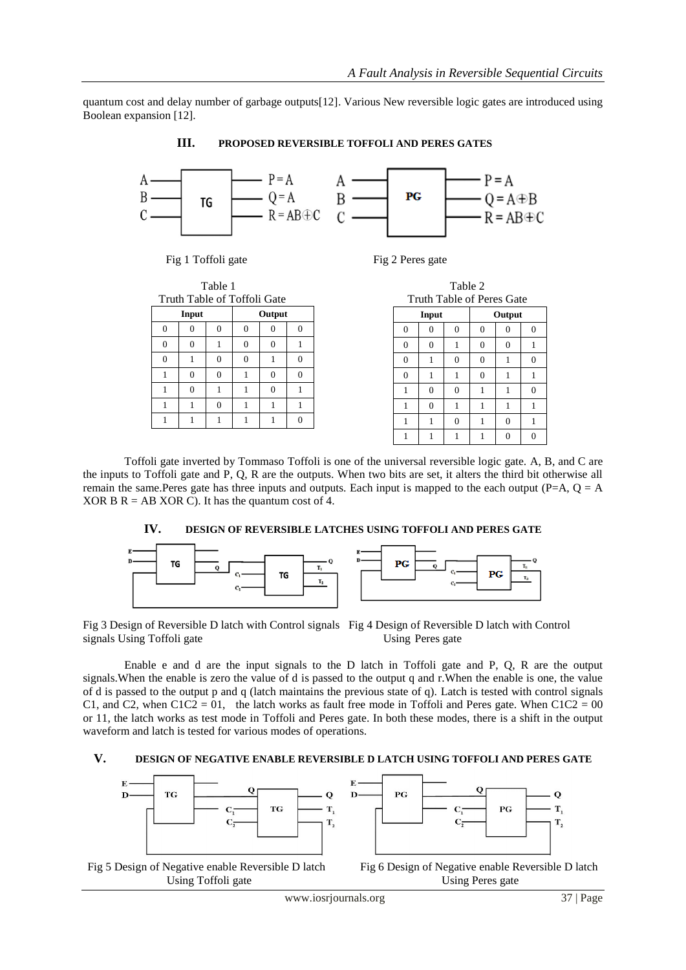quantum cost and delay number of garbage outputs[12]. Various New reversible logic gates are introduced using Boolean expansion [12].

**III. PROPOSED REVERSIBLE TOFFOLI AND PERES GATES**

 $-P = A$  $Q = A$ <br>  $Q = A$ <br>  $R = AB \oplus C$ <br>  $C =$  $Q = A \oplus B$ <br> $R = AB \oplus C$ B PG **TG** 

Fig 1 Toffoli gate Fig 2 Peres gate

| rabie i  |          |                             |          |          |          |
|----------|----------|-----------------------------|----------|----------|----------|
|          |          | Truth Table of Toffoli Gate |          |          |          |
| Input    |          |                             |          | Output   |          |
| $\Omega$ | $\Omega$ | $\Omega$                    | $\Omega$ | $\Omega$ | $\Omega$ |
| $\Omega$ | $\theta$ |                             | $\Omega$ | $\Omega$ |          |
| $\Omega$ |          | $\Omega$                    | $\theta$ |          | $\Omega$ |
|          | $\Omega$ | $\Omega$                    |          | $\Omega$ | $\Omega$ |
|          | $\Omega$ |                             |          | $\Omega$ |          |
|          | 1        | $\Omega$                    |          |          |          |
|          |          |                             |          |          | $\Omega$ |
|          |          |                             |          |          |          |

| Table 1             |          |          |          |          |          |          |          | Table 2  |                           |          |          |
|---------------------|----------|----------|----------|----------|----------|----------|----------|----------|---------------------------|----------|----------|
| ble of Toffoli Gate |          |          |          |          |          |          |          |          | Truth Table of Peres Gate |          |          |
| Output              |          |          |          |          |          | Input    |          |          | Output                    |          |          |
|                     | $\theta$ | $\Omega$ | $\Omega$ | $\Omega$ |          | $\Omega$ | $\Omega$ | $\Omega$ | $\Omega$                  | $\Omega$ | $\Omega$ |
|                     |          | $\Omega$ | $\Omega$ | 1        |          | $\Omega$ | $\Omega$ | 1        | $\Omega$                  | $\Omega$ |          |
|                     | $\Omega$ | $\theta$ | 1        | $\theta$ |          | $\Omega$ | 1        | $\Omega$ | $\Omega$                  |          | $\Omega$ |
|                     | $\Omega$ | 1        | $\Omega$ | $\Omega$ | $\Omega$ |          | 1        | 1        | $\Omega$                  | 1        |          |
|                     | 1        | 1        | $\Omega$ | 1        |          | 1        | $\Omega$ | $\Omega$ |                           |          | $\Omega$ |
|                     | $\Omega$ | 1        | 1        | 1        |          | 1        | $\Omega$ | 1        |                           |          |          |
|                     |          |          | 1        | $\Omega$ |          | 1        | 1        | $\theta$ | н                         | $\Omega$ |          |
|                     |          |          |          |          |          |          |          |          |                           | $\Omega$ | $\Omega$ |

Toffoli gate inverted by Tommaso Toffoli is one of the universal reversible logic gate. A, B, and C are the inputs to Toffoli gate and P, Q, R are the outputs. When two bits are set, it alters the third bit otherwise all remain the same.Peres gate has three inputs and outputs. Each input is mapped to the each output (P=A,  $Q = A$ XOR B  $R = AB XOR C$ . It has the quantum cost of 4.

#### **IV. DESIGN OF REVERSIBLE LATCHES USING TOFFOLI AND PERES GATE**



Fig 3 Design of Reversible D latch with Control signals Fig 4 Design of Reversible D latch with Control signals Using Toffoli gate Using Peres gate

Enable e and d are the input signals to the D latch in Toffoli gate and P, Q, R are the output signals.When the enable is zero the value of d is passed to the output q and r.When the enable is one, the value of d is passed to the output p and q (latch maintains the previous state of q). Latch is tested with control signals C1, and C2, when  $C1C2 = 01$ , the latch works as fault free mode in Toffoli and Peres gate. When  $C1C2 = 00$ or 11, the latch works as test mode in Toffoli and Peres gate. In both these modes, there is a shift in the output waveform and latch is tested for various modes of operations.

#### **V. DESIGN OF NEGATIVE ENABLE REVERSIBLE D LATCH USING TOFFOLI AND PERES GATE**







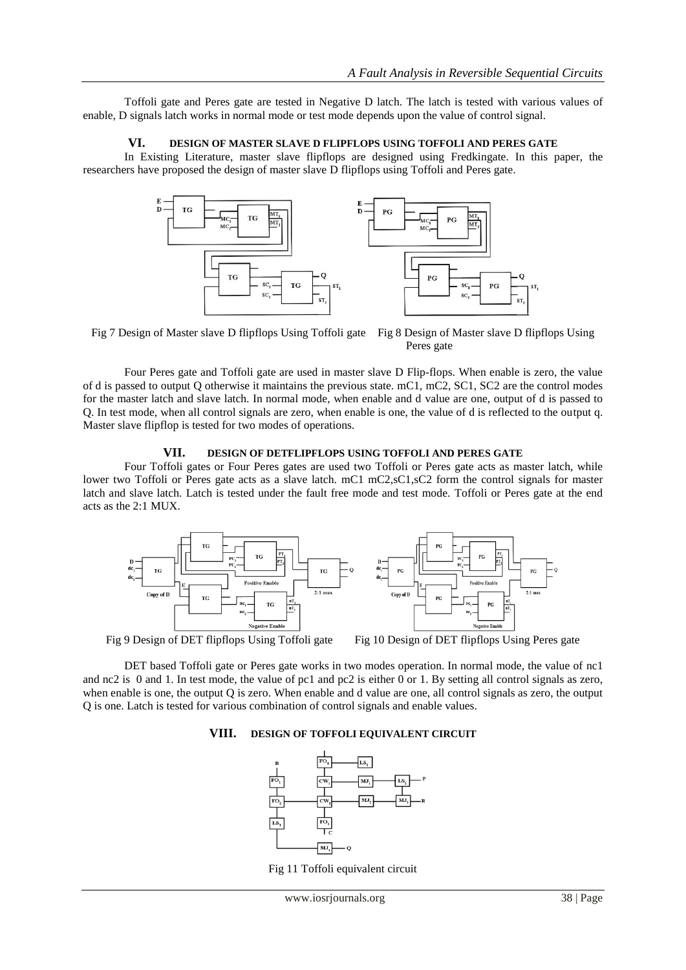Toffoli gate and Peres gate are tested in Negative D latch. The latch is tested with various values of enable, D signals latch works in normal mode or test mode depends upon the value of control signal.

#### **VI. DESIGN OF MASTER SLAVE D FLIPFLOPS USING TOFFOLI AND PERES GATE**

In Existing Literature, master slave flipflops are designed using Fredkingate. In this paper, the researchers have proposed the design of master slave D flipflops using Toffoli and Peres gate.



Fig 7 Design of Master slave D flipflops Using Toffoli gate Fig 8 Design of Master slave D flipflops Using Peres gate

Four Peres gate and Toffoli gate are used in master slave D Flip-flops. When enable is zero, the value of d is passed to output Q otherwise it maintains the previous state. mC1, mC2, SC1, SC2 are the control modes for the master latch and slave latch. In normal mode, when enable and d value are one, output of d is passed to Q. In test mode, when all control signals are zero, when enable is one, the value of d is reflected to the output q. Master slave flipflop is tested for two modes of operations.

#### **VII. DESIGN OF DETFLIPFLOPS USING TOFFOLI AND PERES GATE**

Four Toffoli gates or Four Peres gates are used two Toffoli or Peres gate acts as master latch, while lower two Toffoli or Peres gate acts as a slave latch. mC1 mC2,sC1,sC2 form the control signals for master latch and slave latch. Latch is tested under the fault free mode and test mode. Toffoli or Peres gate at the end acts as the 2:1 MUX.



DET based Toffoli gate or Peres gate works in two modes operation. In normal mode, the value of nc1 and nc2 is 0 and 1. In test mode, the value of pc1 and pc2 is either 0 or 1. By setting all control signals as zero, when enable is one, the output Q is zero. When enable and d value are one, all control signals as zero, the output Q is one. Latch is tested for various combination of control signals and enable values.

#### **VIII. DESIGN OF TOFFOLI EQUIVALENT CIRCUIT**



Fig 11 Toffoli equivalent circuit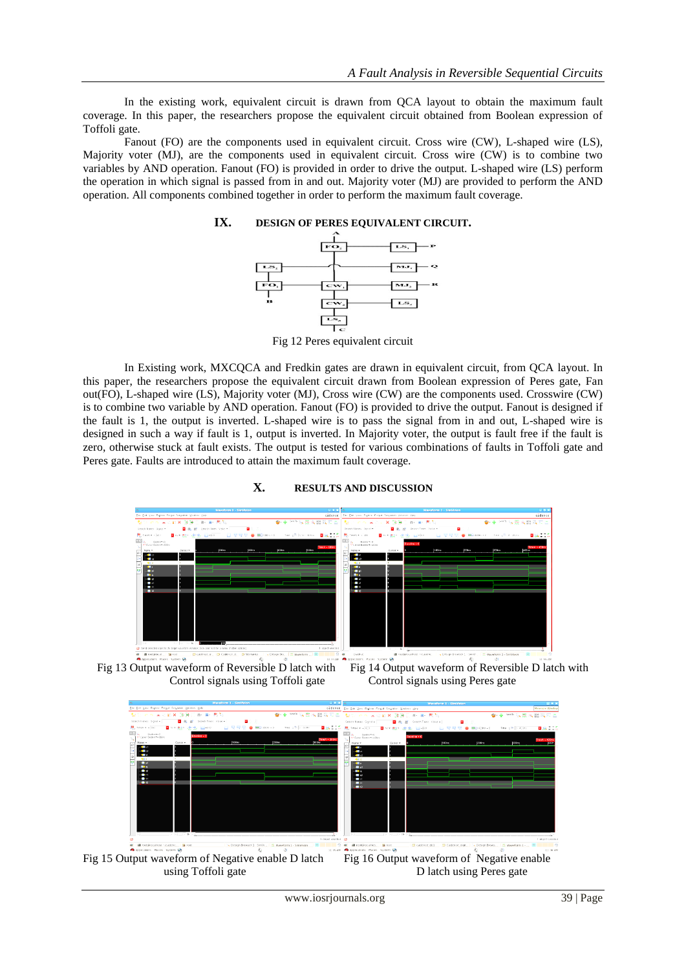In the existing work, equivalent circuit is drawn from QCA layout to obtain the maximum fault coverage. In this paper, the researchers propose the equivalent circuit obtained from Boolean expression of Toffoli gate.

Fanout (FO) are the components used in equivalent circuit. Cross wire (CW), L-shaped wire (LS), Majority voter (MJ), are the components used in equivalent circuit. Cross wire (CW) is to combine two variables by AND operation. Fanout (FO) is provided in order to drive the output. L-shaped wire (LS) perform the operation in which signal is passed from in and out. Majority voter (MJ) are provided to perform the AND operation. All components combined together in order to perform the maximum fault coverage.

## **IX. DESIGN OF PERES EQUIVALENT CIRCUIT.**



Fig 12 Peres equivalent circuit

In Existing work, MXCQCA and Fredkin gates are drawn in equivalent circuit, from QCA layout. In this paper, the researchers propose the equivalent circuit drawn from Boolean expression of Peres gate, Fan out(FO), L-shaped wire (LS), Majority voter (MJ), Cross wire (CW) are the components used. Crosswire (CW) is to combine two variable by AND operation. Fanout (FO) is provided to drive the output. Fanout is designed if the fault is 1, the output is inverted. L-shaped wire is to pass the signal from in and out, L-shaped wire is designed in such a way if fault is 1, output is inverted. In Majority voter, the output is fault free if the fault is zero, otherwise stuck at fault exists. The output is tested for various combinations of faults in Toffoli gate and Peres gate. Faults are introduced to attain the maximum fault coverage.



#### **X. RESULTS AND DISCUSSION**

Fig 13 Output waveform of Reversible D latch with Fig 14 Output waveform of Reversible D latch with Control signals using Toffoli gate Control signals using Peres gate

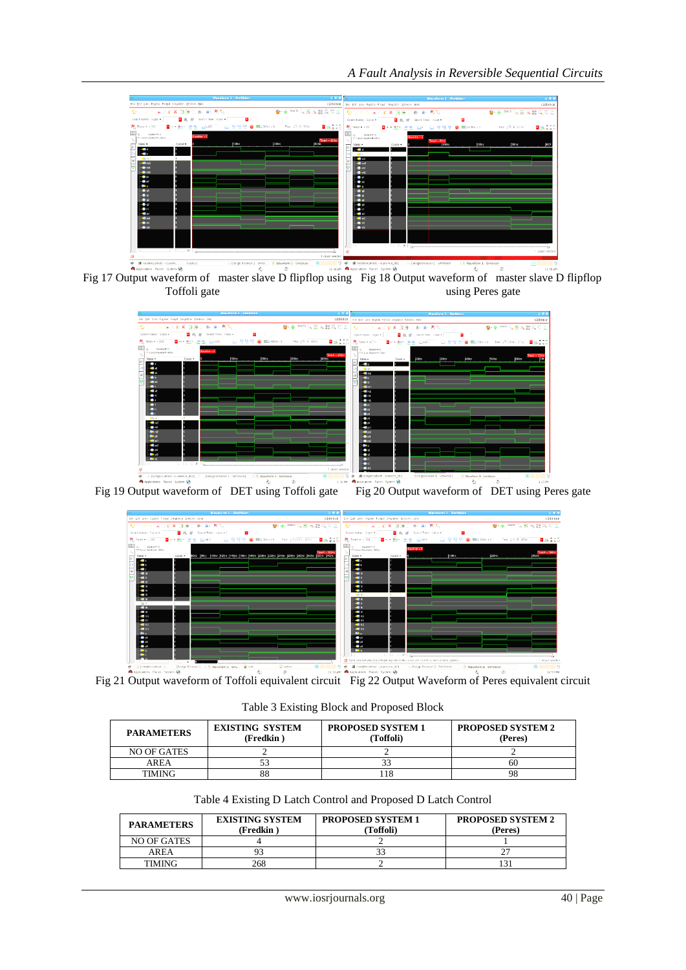





Fig 19 Output waveform of DET using Toffoli gate Fig 20 Output waveform of DET using Peres gate



Fig 21 Output waveform of Toffoli equivalent circuit Fig 22 Output Waveform of Peres equivalent circuit

Table 3 Existing Block and Proposed Block

| <b>PARAMETERS</b> | <b>EXISTING SYSTEM</b><br>(Fredkin) | <b>PROPOSED SYSTEM 1</b><br>(Toffoli) | <b>PROPOSED SYSTEM 2</b><br>(Peres) |  |  |
|-------------------|-------------------------------------|---------------------------------------|-------------------------------------|--|--|
| NO OF GATES       |                                     |                                       |                                     |  |  |
| <b>AREA</b>       |                                     | 33                                    | 60                                  |  |  |
| TIMING            | $\Omega$<br>გგ                      |                                       | 98                                  |  |  |

Table 4 Existing D Latch Control and Proposed D Latch Control

| <b>PARAMETERS</b> | <b>EXISTING SYSTEM</b><br>(Fredkin) | <b>PROPOSED SYSTEM 1</b><br>(Toffoli) | <b>PROPOSED SYSTEM 2</b><br>(Peres) |  |  |
|-------------------|-------------------------------------|---------------------------------------|-------------------------------------|--|--|
| NO OF GATES       |                                     |                                       |                                     |  |  |
| AREA              |                                     |                                       |                                     |  |  |
| <b>TIMING</b>     | 268                                 |                                       |                                     |  |  |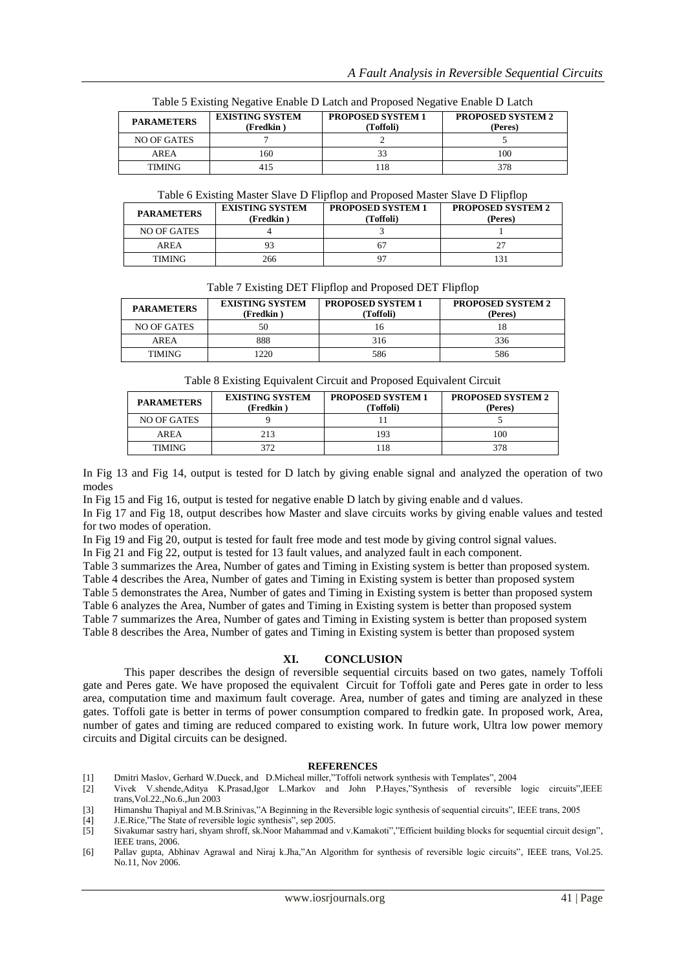| <b>PARAMETERS</b> | <b>EXISTING SYSTEM</b><br>(Fredkin) | <b>PROPOSED SYSTEM 1</b><br>(Toffoli) | <b>PROPOSED SYSTEM 2</b><br>(Peres) |  |
|-------------------|-------------------------------------|---------------------------------------|-------------------------------------|--|
| NO OF GATES       |                                     |                                       |                                     |  |
| AREA              | 160                                 |                                       | 100                                 |  |
| <b>TIMING</b>     | 415                                 | l 18                                  | 378                                 |  |

Table 5 Existing Negative Enable D Latch and Proposed Negative Enable D Latch

Table 6 Existing Master Slave D Flipflop and Proposed Master Slave D Flipflop

| <b>PARAMETERS</b> | <b>EXISTING SYSTEM</b><br>(Fredkin) | <b>PROPOSED SYSTEM 1</b><br>(Toffoli) | <b>PROPOSED SYSTEM 2</b><br>(Peres) |  |  |
|-------------------|-------------------------------------|---------------------------------------|-------------------------------------|--|--|
| NO OF GATES       |                                     |                                       |                                     |  |  |
| AREA              | 93                                  | 67                                    | 27                                  |  |  |
| TIMING            | 266                                 |                                       | $\left 3\right\rangle$              |  |  |

#### Table 7 Existing DET Flipflop and Proposed DET Flipflop

| <b>PARAMETERS</b> | <b>EXISTING SYSTEM</b><br>(Fredkin) | <b>PROPOSED SYSTEM 1</b><br>(Toffoli) | <b>PROPOSED SYSTEM 2</b><br>(Peres) |  |  |
|-------------------|-------------------------------------|---------------------------------------|-------------------------------------|--|--|
| NO OF GATES       | 50                                  |                                       | 18                                  |  |  |
| AREA              | 888                                 | 316                                   | 336                                 |  |  |
| <b>TIMING</b>     | 220                                 | 586                                   | 586                                 |  |  |

Table 8 Existing Equivalent Circuit and Proposed Equivalent Circuit

| <b>PARAMETERS</b> | <b>EXISTING SYSTEM</b><br>(Fredkin) | <b>PROPOSED SYSTEM 1</b><br>(Toffoli) | <b>PROPOSED SYSTEM 2</b><br>(Peres) |
|-------------------|-------------------------------------|---------------------------------------|-------------------------------------|
| NO OF GATES       |                                     |                                       |                                     |
| AREA              | 213                                 | 193                                   | 100                                 |
| <b>TIMING</b>     | 372                                 | 118                                   | 378                                 |

In Fig 13 and Fig 14, output is tested for D latch by giving enable signal and analyzed the operation of two modes

In Fig 15 and Fig 16, output is tested for negative enable D latch by giving enable and d values.

In Fig 17 and Fig 18, output describes how Master and slave circuits works by giving enable values and tested for two modes of operation.

In Fig 19 and Fig 20, output is tested for fault free mode and test mode by giving control signal values.

In Fig 21 and Fig 22, output is tested for 13 fault values, and analyzed fault in each component.

Table 3 summarizes the Area, Number of gates and Timing in Existing system is better than proposed system.

Table 4 describes the Area, Number of gates and Timing in Existing system is better than proposed system

Table 5 demonstrates the Area, Number of gates and Timing in Existing system is better than proposed system

Table 6 analyzes the Area, Number of gates and Timing in Existing system is better than proposed system

Table 7 summarizes the Area, Number of gates and Timing in Existing system is better than proposed system

Table 8 describes the Area, Number of gates and Timing in Existing system is better than proposed system

#### **XI. CONCLUSION**

This paper describes the design of reversible sequential circuits based on two gates, namely Toffoli gate and Peres gate. We have proposed the equivalent Circuit for Toffoli gate and Peres gate in order to less area, computation time and maximum fault coverage. Area, number of gates and timing are analyzed in these gates. Toffoli gate is better in terms of power consumption compared to fredkin gate. In proposed work, Area, number of gates and timing are reduced compared to existing work. In future work, Ultra low power memory circuits and Digital circuits can be designed.

#### **REFERENCES**

- [1] Dmitri Maslov, Gerhard W.Dueck, and D.Micheal miller,"Toffoli network synthesis with Templates", 2004
- [2] Vivek V.shende,Aditya K.Prasad,Igor L.Markov and John P.Hayes,"Synthesis of reversible logic circuits",IEEE trans,Vol.22.,No.6.,Jun 2003
- [3] Himanshu Thapiyal and M.B.Srinivas,"A Beginning in the Reversible logic synthesis of sequential circuits", IEEE trans, 2005
- [4] J.E.Rice,"The State of reversible logic synthesis", sep 2005.
- [5] Sivakumar sastry hari, shyam shroff, sk.Noor Mahammad and v.Kamakoti","Efficient building blocks for sequential circuit design", IEEE trans, 2006.
- [6] Pallav gupta, Abhinav Agrawal and Niraj k.Jha,"An Algorithm for synthesis of reversible logic circuits", IEEE trans, Vol.25. No.11, Nov 2006.